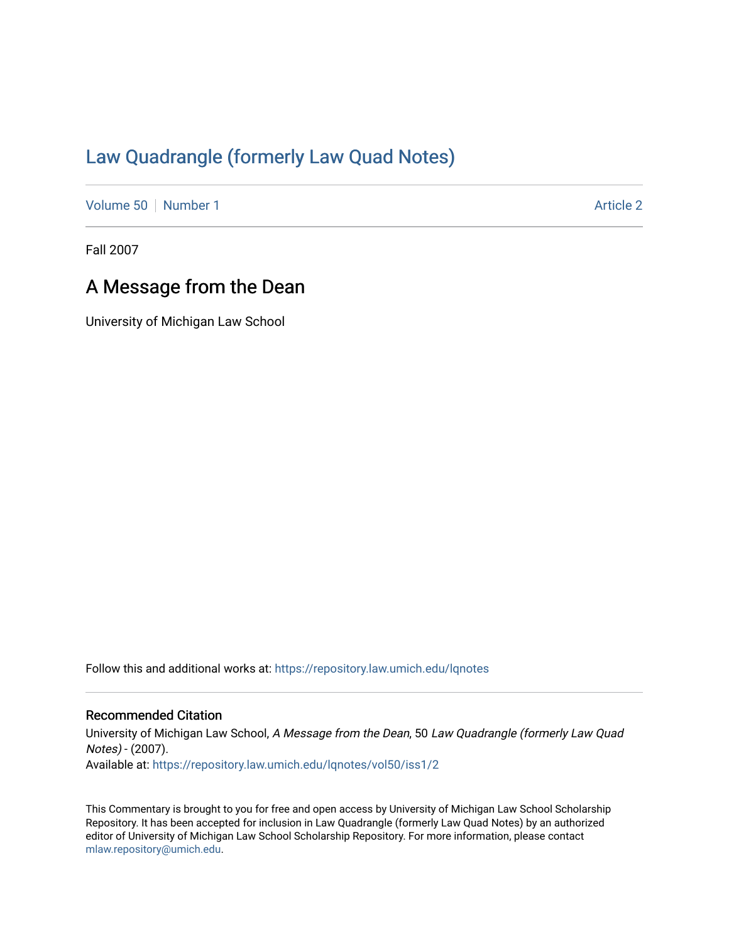## [Law Quadrangle \(formerly Law Quad Notes\)](https://repository.law.umich.edu/lqnotes)

[Volume 50](https://repository.law.umich.edu/lqnotes/vol50) [Number 1](https://repository.law.umich.edu/lqnotes/vol50/iss1) [Article 2](https://repository.law.umich.edu/lqnotes/vol50/iss1/2) Article 2 Article 2 Article 2 Article 2 Article 2 Article 2

Fall 2007

## A Message from the Dean

University of Michigan Law School

Follow this and additional works at: [https://repository.law.umich.edu/lqnotes](https://repository.law.umich.edu/lqnotes?utm_source=repository.law.umich.edu%2Flqnotes%2Fvol50%2Fiss1%2F2&utm_medium=PDF&utm_campaign=PDFCoverPages) 

## Recommended Citation

University of Michigan Law School, A Message from the Dean, 50 Law Quadrangle (formerly Law Quad Notes) - (2007). Available at: [https://repository.law.umich.edu/lqnotes/vol50/iss1/2](https://repository.law.umich.edu/lqnotes/vol50/iss1/2?utm_source=repository.law.umich.edu%2Flqnotes%2Fvol50%2Fiss1%2F2&utm_medium=PDF&utm_campaign=PDFCoverPages) 

This Commentary is brought to you for free and open access by University of Michigan Law School Scholarship Repository. It has been accepted for inclusion in Law Quadrangle (formerly Law Quad Notes) by an authorized editor of University of Michigan Law School Scholarship Repository. For more information, please contact [mlaw.repository@umich.edu.](mailto:mlaw.repository@umich.edu)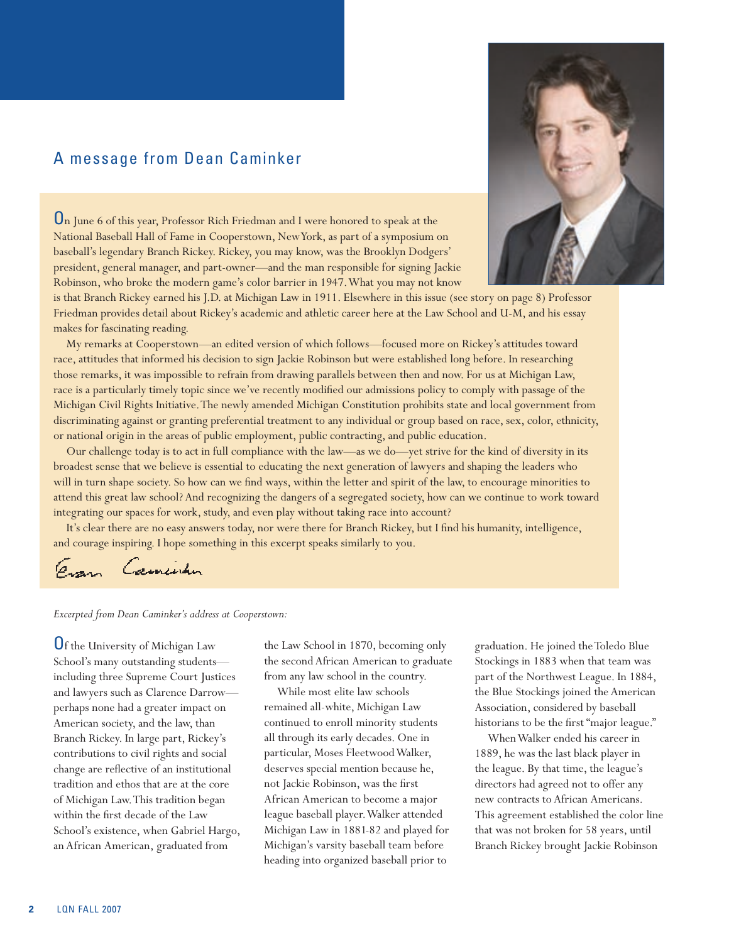## A message from Dean Caminker

On June 6 of this year, Professor Rich Friedman and I were honored to speak at the National Baseball Hall of Fame in Cooperstown, New York, as part of a symposium on baseball's legendary Branch Rickey. Rickey, you may know, was the Brooklyn Dodgers' president, general manager, and part-owner—and the man responsible for signing Jackie Robinson, who broke the modern game's color barrier in 1947. What you may not know



is that Branch Rickey earned his J.D. at Michigan Law in 1911. Elsewhere in this issue (see story on page 8) Professor Friedman provides detail about Rickey's academic and athletic career here at the Law School and U-M, and his essay makes for fascinating reading.

My remarks at Cooperstown—an edited version of which follows—focused more on Rickey's attitudes toward race, attitudes that informed his decision to sign Jackie Robinson but were established long before. In researching those remarks, it was impossible to refrain from drawing parallels between then and now. For us at Michigan Law, race is a particularly timely topic since we've recently modified our admissions policy to comply with passage of the Michigan Civil Rights Initiative. The newly amended Michigan Constitution prohibits state and local government from discriminating against or granting preferential treatment to any individual or group based on race, sex, color, ethnicity, or national origin in the areas of public employment, public contracting, and public education.

Our challenge today is to act in full compliance with the law—as we do—yet strive for the kind of diversity in its broadest sense that we believe is essential to educating the next generation of lawyers and shaping the leaders who will in turn shape society. So how can we find ways, within the letter and spirit of the law, to encourage minorities to attend this great law school? And recognizing the dangers of a segregated society, how can we continue to work toward integrating our spaces for work, study, and even play without taking race into account?

It's clear there are no easy answers today, nor were there for Branch Rickey, but I find his humanity, intelligence, and courage inspiring. I hope something in this excerpt speaks similarly to you.

Evan Camentin

*Excerpted from Dean Caminker's address at Cooperstown:*

Of the University of Michigan Law School's many outstanding students including three Supreme Court Justices and lawyers such as Clarence Darrow perhaps none had a greater impact on American society, and the law, than Branch Rickey. In large part, Rickey's contributions to civil rights and social change are reflective of an institutional tradition and ethos that are at the core of Michigan Law. This tradition began within the first decade of the Law School's existence, when Gabriel Hargo, an African American, graduated from

the Law School in 1870, becoming only the second African American to graduate from any law school in the country.

While most elite law schools remained all-white, Michigan Law continued to enroll minority students all through its early decades. One in particular, Moses Fleetwood Walker, deserves special mention because he, not Jackie Robinson, was the first African American to become a major league baseball player. Walker attended Michigan Law in 1881-82 and played for Michigan's varsity baseball team before heading into organized baseball prior to

graduation. He joined the Toledo Blue Stockings in 1883 when that team was part of the Northwest League. In 1884, the Blue Stockings joined the American Association, considered by baseball historians to be the first "major league."

When Walker ended his career in 1889, he was the last black player in the league. By that time, the league's directors had agreed not to offer any new contracts to African Americans. This agreement established the color line that was not broken for 58 years, until Branch Rickey brought Jackie Robinson